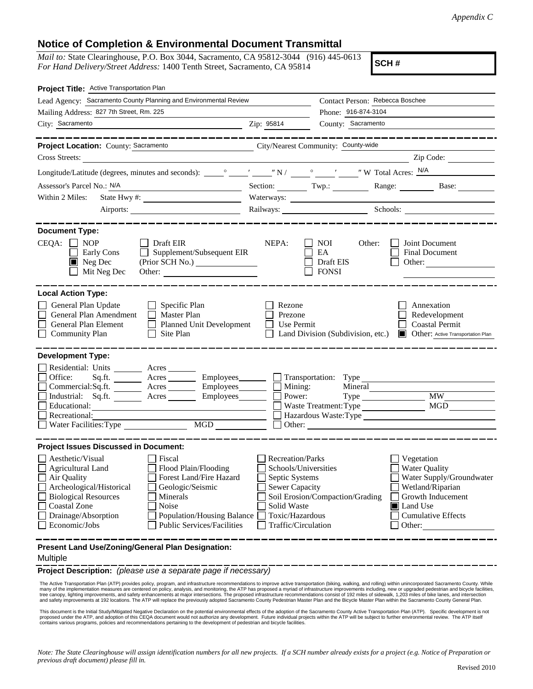## **Notice of Completion & Environmental Document Transmittal**

*Mail to:* State Clearinghouse, P.O. Box 3044, Sacramento, CA 95812-3044 (916) 445-0613 *For Hand Delivery/Street Address:* 1400 Tenth Street, Sacramento, CA 95814

**SCH #**

| Project Title: Active Transportation Plan                                                                                                                                                                                                                                                                                                                                                                           |                                                                                                                                              |                                                         |                                                                                                                                                                     |
|---------------------------------------------------------------------------------------------------------------------------------------------------------------------------------------------------------------------------------------------------------------------------------------------------------------------------------------------------------------------------------------------------------------------|----------------------------------------------------------------------------------------------------------------------------------------------|---------------------------------------------------------|---------------------------------------------------------------------------------------------------------------------------------------------------------------------|
| Lead Agency: Sacramento County Planning and Environmental Review                                                                                                                                                                                                                                                                                                                                                    |                                                                                                                                              | Contact Person: Rebecca Boschee                         |                                                                                                                                                                     |
| Mailing Address: 827 7th Street, Rm. 225                                                                                                                                                                                                                                                                                                                                                                            |                                                                                                                                              | Phone: 916-874-3104                                     |                                                                                                                                                                     |
| City: Sacramento                                                                                                                                                                                                                                                                                                                                                                                                    | Zip: 95814                                                                                                                                   | County: Sacramento                                      |                                                                                                                                                                     |
|                                                                                                                                                                                                                                                                                                                                                                                                                     |                                                                                                                                              |                                                         |                                                                                                                                                                     |
| Project Location: County: Sacramento                                                                                                                                                                                                                                                                                                                                                                                | City/Nearest Community: County-wide                                                                                                          |                                                         |                                                                                                                                                                     |
| Cross Streets:                                                                                                                                                                                                                                                                                                                                                                                                      |                                                                                                                                              |                                                         | Zip Code:                                                                                                                                                           |
|                                                                                                                                                                                                                                                                                                                                                                                                                     |                                                                                                                                              |                                                         |                                                                                                                                                                     |
| Assessor's Parcel No.: N/A<br><u> 1989 - Johann Barn, fransk politik (</u>                                                                                                                                                                                                                                                                                                                                          | Section: $\begin{array}{c} \n\text{Two.} \\ \end{array}$                                                                                     |                                                         | Range: Base:                                                                                                                                                        |
| Within 2 Miles:                                                                                                                                                                                                                                                                                                                                                                                                     |                                                                                                                                              |                                                         |                                                                                                                                                                     |
|                                                                                                                                                                                                                                                                                                                                                                                                                     |                                                                                                                                              |                                                         | Railways: Schools: Schools: Schools: 2001                                                                                                                           |
| <b>Document Type:</b>                                                                                                                                                                                                                                                                                                                                                                                               |                                                                                                                                              |                                                         |                                                                                                                                                                     |
| $CEQA: \Box NP$<br>$\Box$ Draft EIR<br>$\Box$ Supplement/Subsequent EIR<br>Early Cons<br>$\blacksquare$ Neg Dec<br>Mit Neg Dec                                                                                                                                                                                                                                                                                      | NEPA:                                                                                                                                        | <b>NOI</b><br>Other:<br>EA<br>Draft EIS<br><b>FONSI</b> | Joint Document<br><b>Final Document</b><br>Other:                                                                                                                   |
| <b>Local Action Type:</b><br>General Plan Update<br>$\Box$ Specific Plan<br>General Plan Amendment<br>$\Box$ Master Plan<br>General Plan Element<br><b>Planned Unit Development</b><br>$\perp$<br><b>Community Plan</b><br>Site Plan<br>$\perp$                                                                                                                                                                     | Rezone<br>Prezone<br>Use Permit                                                                                                              | Land Division (Subdivision, etc.)                       | Annexation<br>Redevelopment<br><b>Coastal Permit</b><br>Other: Active Transportation Plan<br>$\blacksquare$                                                         |
| <b>Development Type:</b><br>Residential: Units ________ Acres _______<br>Office:<br>Acres Employees Transportation: Type<br>Sq.fit.<br>Commercial:Sq.ft. ________ Acres _________ Employees ________ $\Box$<br>Acres<br>Industrial: Sq.ft.<br>Educational:<br>Recreational:<br>Water Facilities: Type                                                                                                               | Mining:<br>Power:                                                                                                                            | Mineral<br>Waste Treatment: Type                        | <b>MW</b><br>MGD<br>Hazardous Waste:Type<br>Other:                                                                                                                  |
| <b>Project Issues Discussed in Document:</b>                                                                                                                                                                                                                                                                                                                                                                        |                                                                                                                                              |                                                         |                                                                                                                                                                     |
| Aesthetic/Visual<br>Fiscal<br><b>Agricultural Land</b><br>Flood Plain/Flooding<br>Forest Land/Fire Hazard<br>Air Quality<br>Archeological/Historical<br>Geologic/Seismic<br><b>Biological Resources</b><br>Minerals<br><b>Coastal Zone</b><br>Noise<br>Drainage/Absorption<br>Population/Housing Balance<br>Economic/Jobs<br><b>Public Services/Facilities</b><br>Present Land Use/Zoning/General Plan Designation: | <b>Recreation/Parks</b><br>Schools/Universities<br>Septic Systems<br>Sewer Capacity<br>Solid Waste<br>Toxic/Hazardous<br>Traffic/Circulation | Soil Erosion/Compaction/Grading                         | Vegetation<br><b>Water Quality</b><br>Water Supply/Groundwater<br>Wetland/Riparian<br>Growth Inducement<br><b>I</b> Land Use<br><b>Cumulative Effects</b><br>Other: |
|                                                                                                                                                                                                                                                                                                                                                                                                                     |                                                                                                                                              |                                                         |                                                                                                                                                                     |

## Multiple

**Project Description:** *(please use a separate page if necessary)*

 The Active Transportation Plan (ATP) provides policy, program, and infrastructure recommendations to improve active transportation (biking, walking, and rolling) within unincorporated Sacramento County. While many of the implementation measures are centered on policy, analysis, and monitoring, the ATP has proposed a myriad of infrastructure improvements including, new or upgraded pedestrian and bicycle facilities,<br>tree canopy, and safety improvements at 192 locations. The ATP will replace the previously adopted Sacramento County Pedestrian Master Plan and the Bicycle Master Plan within the Sacramento County General Plan.

This document is the Initial Study/Mitigated Negative Declaration on the potential environmental effects of the adoption of the Sacramento County Active Transportation Plan (ATP). Specific development is not proposed under the ATP, and adoption of this CEQA document would not authorize any development. Future individual projects within the ATP will be subject to further environmental review. The ATP itself<br>contains various pro

*Note: The State Clearinghouse will assign identification numbers for all new projects. If a SCH number already exists for a project (e.g. Notice of Preparation or previous draft document) please fill in.*